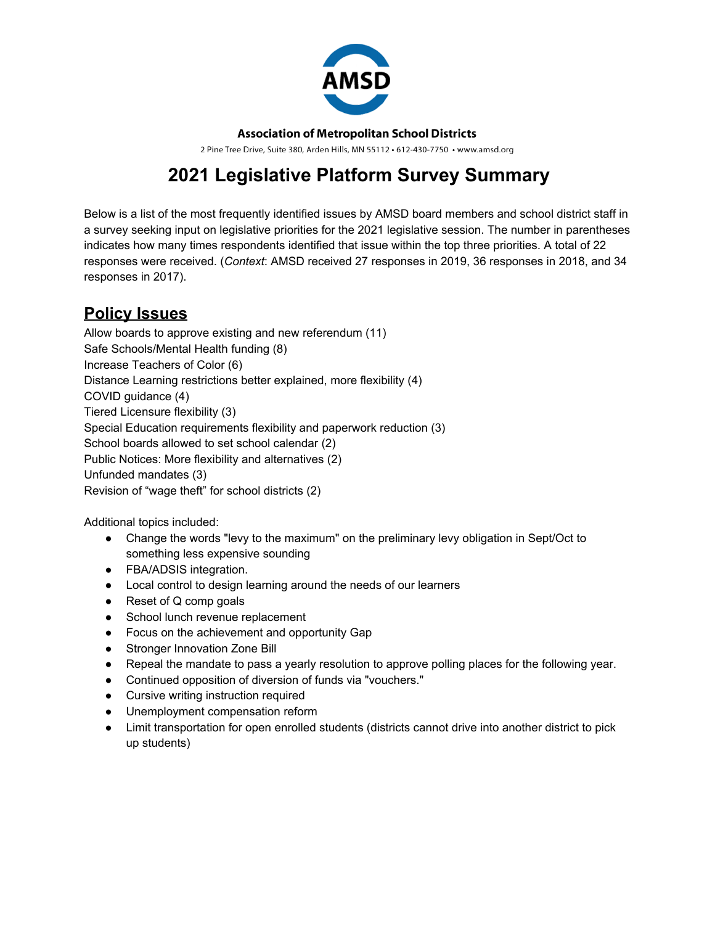

**Association of Metropolitan School Districts** 

2 Pine Tree Drive, Suite 380, Arden Hills, MN 55112 · 612-430-7750 · www.amsd.org

# **2021 Legislative Platform Survey Summary**

Below is a list of the most frequently identified issues by AMSD board members and school district staff in a survey seeking input on legislative priorities for the 2021 legislative session. The number in parentheses indicates how many times respondents identified that issue within the top three priorities. A total of 22 responses were received. (*Context*: AMSD received 27 responses in 2019, 36 responses in 2018, and 34 responses in 2017).

# **Policy Issues**

Allow boards to approve existing and new referendum (11) Safe Schools/Mental Health funding (8) Increase Teachers of Color (6) Distance Learning restrictions better explained, more flexibility (4) COVID guidance (4) Tiered Licensure flexibility (3) Special Education requirements flexibility and paperwork reduction (3) School boards allowed to set school calendar (2) Public Notices: More flexibility and alternatives (2) Unfunded mandates (3) Revision of "wage theft" for school districts (2)

Additional topics included:

- Change the words "levy to the maximum" on the preliminary levy obligation in Sept/Oct to something less expensive sounding
- FBA/ADSIS integration.
- Local control to design learning around the needs of our learners
- Reset of Q comp goals
- School lunch revenue replacement
- Focus on the achievement and opportunity Gap
- Stronger Innovation Zone Bill
- Repeal the mandate to pass a yearly resolution to approve polling places for the following year.
- Continued opposition of diversion of funds via "vouchers."
- Cursive writing instruction required
- Unemployment compensation reform
- Limit transportation for open enrolled students (districts cannot drive into another district to pick up students)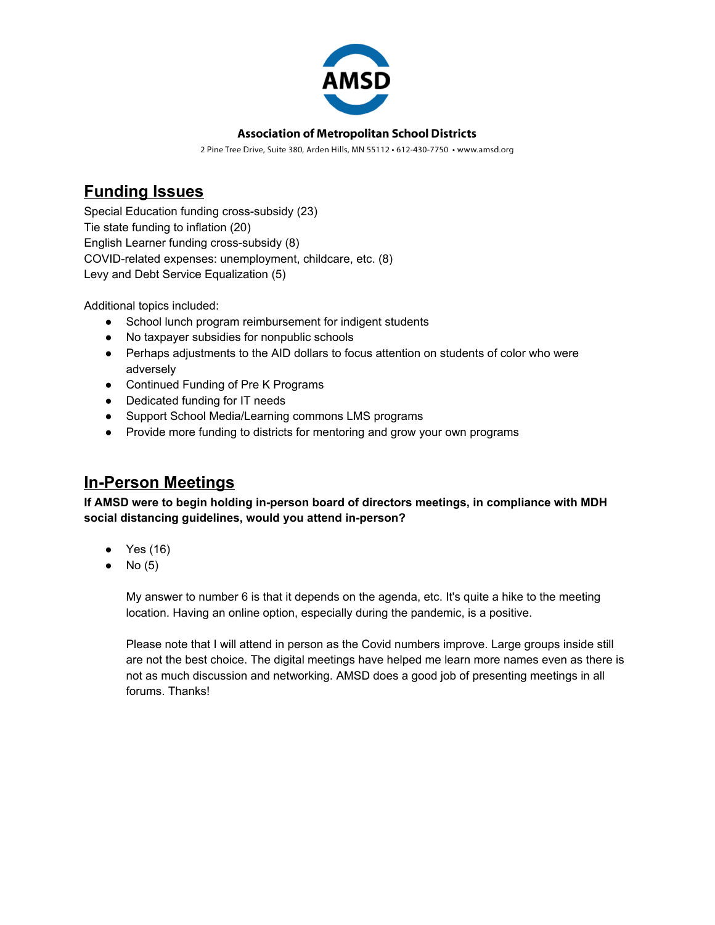

#### **Association of Metropolitan School Districts**

2 Pine Tree Drive, Suite 380, Arden Hills, MN 55112 · 612-430-7750 · www.amsd.org

## **Funding Issues**

Special Education funding cross-subsidy (23) Tie state funding to inflation (20) English Learner funding cross-subsidy (8) COVID-related expenses: unemployment, childcare, etc. (8) Levy and Debt Service Equalization (5)

Additional topics included:

- School lunch program reimbursement for indigent students
- No taxpayer subsidies for nonpublic schools
- Perhaps adjustments to the AID dollars to focus attention on students of color who were adversely
- Continued Funding of Pre K Programs
- Dedicated funding for IT needs
- Support School Media/Learning commons LMS programs
- Provide more funding to districts for mentoring and grow your own programs

### **In-Person Meetings**

**If AMSD were to begin holding in-person board of directors meetings, in compliance with MDH social distancing guidelines, would you attend in-person?**

- Yes (16)
- $\bullet$  No (5)

My answer to number 6 is that it depends on the agenda, etc. It's quite a hike to the meeting location. Having an online option, especially during the pandemic, is a positive.

Please note that I will attend in person as the Covid numbers improve. Large groups inside still are not the best choice. The digital meetings have helped me learn more names even as there is not as much discussion and networking. AMSD does a good job of presenting meetings in all forums. Thanks!